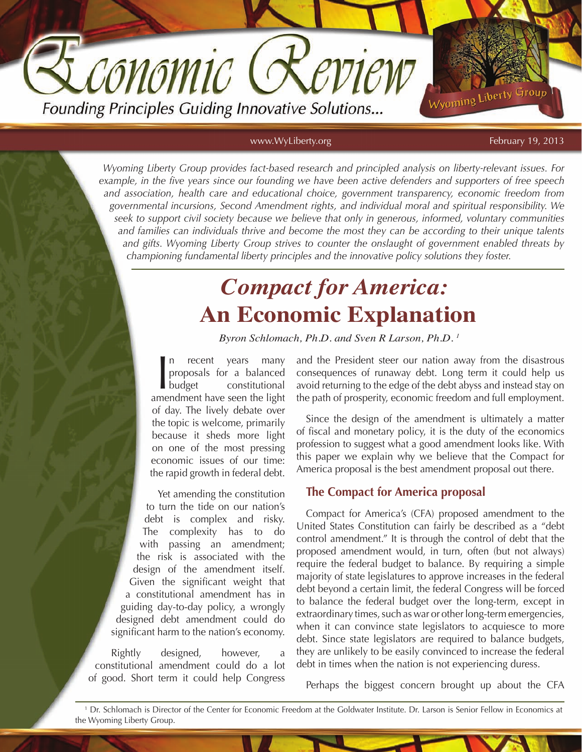Founding Principles Guiding Innovative Solutions...

CONOMIC (

www.WyLiberty.org February 19, 2013

Wyoming Liberty Group

*Wyoming Liberty Group provides fact-based research and principled analysis on liberty-relevant issues. For example, in the five years since our founding we have been active defenders and supporters of free speech and association, health care and educational choice, government transparency, economic freedom from governmental incursions, Second Amendment rights, and individual moral and spiritual responsibility. We seek to support civil society because we believe that only in generous, informed, voluntary communities and families can individuals thrive and become the most they can be according to their unique talents and gifts. Wyoming Liberty Group strives to counter the onslaught of government enabled threats by championing fundamental liberty principles and the innovative policy solutions they foster.*

# *Compact for America:*  **An Economic Explanation**

*Byron Schlomach, Ph.D. and Sven R Larson, Ph.D. 1*

In recent years many<br>proposals for a balanced<br>budget constitutional<br>amendment have seen the light recent years many proposals for a balanced budget constitutional of day. The lively debate over the topic is welcome, primarily because it sheds more light on one of the most pressing economic issues of our time: the rapid growth in federal debt.

Yet amending the constitution to turn the tide on our nation's debt is complex and risky. The complexity has to do with passing an amendment; the risk is associated with the design of the amendment itself. Given the significant weight that a constitutional amendment has in guiding day-to-day policy, a wrongly designed debt amendment could do significant harm to the nation's economy.

Rightly designed, however, a constitutional amendment could do a lot of good. Short term it could help Congress and the President steer our nation away from the disastrous consequences of runaway debt. Long term it could help us avoid returning to the edge of the debt abyss and instead stay on the path of prosperity, economic freedom and full employment.

Since the design of the amendment is ultimately a matter of fiscal and monetary policy, it is the duty of the economics profession to suggest what a good amendment looks like. With this paper we explain why we believe that the Compact for America proposal is the best amendment proposal out there.

# **The Compact for America proposal**

Compact for America's (CFA) proposed amendment to the United States Constitution can fairly be described as a "debt control amendment." It is through the control of debt that the proposed amendment would, in turn, often (but not always) require the federal budget to balance. By requiring a simple majority of state legislatures to approve increases in the federal debt beyond a certain limit, the federal Congress will be forced to balance the federal budget over the long-term, except in extraordinary times, such as war or other long-term emergencies, when it can convince state legislators to acquiesce to more debt. Since state legislators are required to balance budgets, they are unlikely to be easily convinced to increase the federal debt in times when the nation is not experiencing duress.

Perhaps the biggest concern brought up about the CFA

<sup>1</sup> Dr. Schlomach is Director of the Center for Economic Freedom at the Goldwater Institute. Dr. Larson is Senior Fellow in Economics at the Wyoming Liberty Group.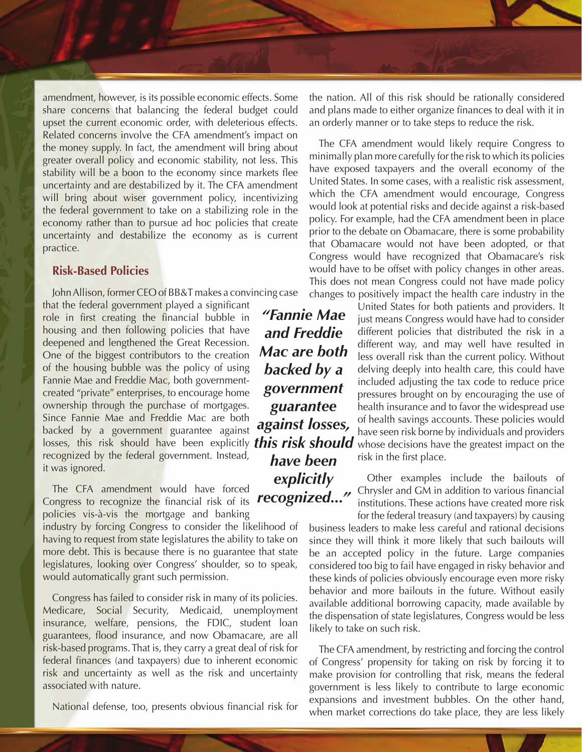amendment, however, is its possible economic effects. Some share concerns that balancing the federal budget could upset the current economic order, with deleterious effects. Related concerns involve the CFA amendment's impact on the money supply. In fact, the amendment will bring about greater overall policy and economic stability, not less. This stability will be a boon to the economy since markets flee uncertainty and are destabilized by it. The CFA amendment will bring about wiser government policy, incentivizing the federal government to take on a stabilizing role in the economy rather than to pursue ad hoc policies that create uncertainty and destabilize the economy as is current practice.

#### **Risk-Based Policies**

John Allison, former CEO of BB&T makes a convincing case

that the federal government played a significant role in first creating the financial bubble in housing and then following policies that have deepened and lengthened the Great Recession. One of the biggest contributors to the creation of the housing bubble was the policy of using Fannie Mae and Freddie Mac, both governmentcreated "private" enterprises, to encourage home ownership through the purchase of mortgages. Since Fannie Mae and Freddie Mac are both backed by a government guarantee against losses, this risk should have been explicitly *this risk should*  recognized by the federal government. Instead, it was ignored.

The CFA amendment would have forced Congress to recognize the financial risk of its policies vis-à-vis the mortgage and banking

industry by forcing Congress to consider the likelihood of having to request from state legislatures the ability to take on more debt. This is because there is no guarantee that state legislatures, looking over Congress' shoulder, so to speak, would automatically grant such permission.

Congress has failed to consider risk in many of its policies. Medicare, Social Security, Medicaid, unemployment insurance, welfare, pensions, the FDIC, student loan guarantees, flood insurance, and now Obamacare, are all risk-based programs. That is, they carry a great deal of risk for federal finances (and taxpayers) due to inherent economic risk and uncertainty as well as the risk and uncertainty associated with nature.

National defense, too, presents obvious financial risk for

*"Fannie Mae and Freddie Mac are both backed by a government guarantee against losses, have been explicitly recognized..."*

the nation. All of this risk should be rationally considered and plans made to either organize finances to deal with it in an orderly manner or to take steps to reduce the risk.

The CFA amendment would likely require Congress to minimally plan more carefully for the risk to which its policies have exposed taxpayers and the overall economy of the United States. In some cases, with a realistic risk assessment, which the CFA amendment would encourage, Congress would look at potential risks and decide against a risk-based policy. For example, had the CFA amendment been in place prior to the debate on Obamacare, there is some probability that Obamacare would not have been adopted, or that Congress would have recognized that Obamacare's risk would have to be offset with policy changes in other areas. This does not mean Congress could not have made policy changes to positively impact the health care industry in the

> United States for both patients and providers. It just means Congress would have had to consider different policies that distributed the risk in a different way, and may well have resulted in less overall risk than the current policy. Without delving deeply into health care, this could have included adjusting the tax code to reduce price pressures brought on by encouraging the use of health insurance and to favor the widespread use of health savings accounts. These policies would have seen risk borne by individuals and providers whose decisions have the greatest impact on the risk in the first place.

> Other examples include the bailouts of Chrysler and GM in addition to various financial institutions. These actions have created more risk for the federal treasury (and taxpayers) by causing

business leaders to make less careful and rational decisions since they will think it more likely that such bailouts will be an accepted policy in the future. Large companies considered too big to fail have engaged in risky behavior and these kinds of policies obviously encourage even more risky behavior and more bailouts in the future. Without easily available additional borrowing capacity, made available by the dispensation of state legislatures, Congress would be less likely to take on such risk.

The CFA amendment, by restricting and forcing the control of Congress' propensity for taking on risk by forcing it to make provision for controlling that risk, means the federal government is less likely to contribute to large economic expansions and investment bubbles. On the other hand, when market corrections do take place, they are less likely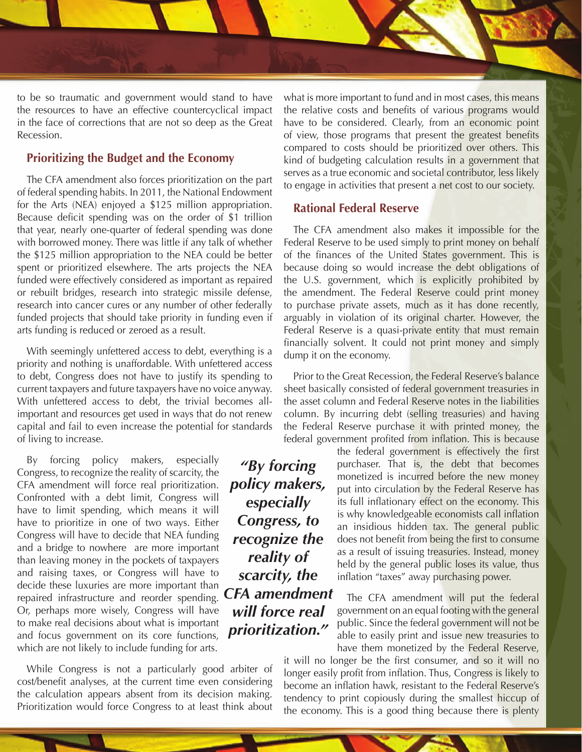

to be so traumatic and government would stand to have the resources to have an effective countercyclical impact in the face of corrections that are not so deep as the Great Recession.

# **Prioritizing the Budget and the Economy**

The CFA amendment also forces prioritization on the part of federal spending habits. In 2011, the National Endowment for the Arts (NEA) enjoyed a \$125 million appropriation. Because deficit spending was on the order of \$1 trillion that year, nearly one-quarter of federal spending was done with borrowed money. There was little if any talk of whether the \$125 million appropriation to the NEA could be better spent or prioritized elsewhere. The arts projects the NEA funded were effectively considered as important as repaired or rebuilt bridges, research into strategic missile defense, research into cancer cures or any number of other federally funded projects that should take priority in funding even if arts funding is reduced or zeroed as a result.

With seemingly unfettered access to debt, everything is a priority and nothing is unaffordable. With unfettered access to debt, Congress does not have to justify its spending to current taxpayers and future taxpayers have no voice anyway. With unfettered access to debt, the trivial becomes allimportant and resources get used in ways that do not renew capital and fail to even increase the potential for standards of living to increase.

By forcing policy makers, especially Congress, to recognize the reality of scarcity, the CFA amendment will force real prioritization. Confronted with a debt limit, Congress will have to limit spending, which means it will have to prioritize in one of two ways. Either Congress will have to decide that NEA funding and a bridge to nowhere are more important than leaving money in the pockets of taxpayers and raising taxes, or Congress will have to decide these luxuries are more important than repaired infrastructure and reorder spending. Or, perhaps more wisely, Congress will have to make real decisions about what is important and focus government on its core functions, which are not likely to include funding for arts.

While Congress is not a particularly good arbiter of cost/benefit analyses, at the current time even considering the calculation appears absent from its decision making. Prioritization would force Congress to at least think about what is more important to fund and in most cases, this means the relative costs and benefits of various programs would have to be considered. Clearly, from an economic point of view, those programs that present the greatest benefits compared to costs should be prioritized over others. This kind of budgeting calculation results in a government that serves as a true economic and societal contributor, less likely to engage in activities that present a net cost to our society.

# **Rational Federal Reserve**

The CFA amendment also makes it impossible for the Federal Reserve to be used simply to print money on behalf of the finances of the United States government. This is because doing so would increase the debt obligations of the U.S. government, which is explicitly prohibited by the amendment. The Federal Reserve could print money to purchase private assets, much as it has done recently, arguably in violation of its original charter. However, the Federal Reserve is a quasi-private entity that must remain financially solvent. It could not print money and simply dump it on the economy.

Prior to the Great Recession, the Federal Reserve's balance sheet basically consisted of federal government treasuries in the asset column and Federal Reserve notes in the liabilities column. By incurring debt (selling treasuries) and having the Federal Reserve purchase it with printed money, the federal government profited from inflation. This is because

> the federal government is effectively the first purchaser. That is, the debt that becomes monetized is incurred before the new money put into circulation by the Federal Reserve has its full inflationary effect on the economy. This is why knowledgeable economists call inflation an insidious hidden tax. The general public does not benefit from being the first to consume as a result of issuing treasuries. Instead, money held by the general public loses its value, thus inflation "taxes" away purchasing power.

> The CFA amendment will put the federal government on an equal footing with the general public. Since the federal government will not be able to easily print and issue new treasuries to have them monetized by the Federal Reserve,

it will no longer be the first consumer, and so it will no longer easily profit from inflation. Thus, Congress is likely to become an inflation hawk, resistant to the Federal Reserve's tendency to print copiously during the smallest hiccup of the economy. This is a good thing because there is plenty

*"By forcing policy makers, especially Congress, to recognize the reality of scarcity, the CFA amendment will force real prioritization."*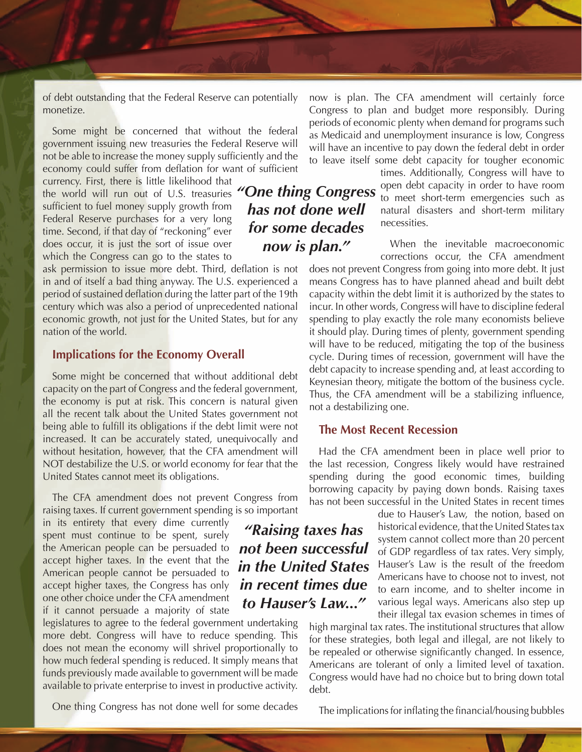of debt outstanding that the Federal Reserve can potentially monetize.

Some might be concerned that without the federal government issuing new treasuries the Federal Reserve will not be able to increase the money supply sufficiently and the economy could suffer from deflation for want of sufficient

currency. First, there is little likelihood that the world will run out of U.S. treasuries sufficient to fuel money supply growth from Federal Reserve purchases for a very long time. Second, if that day of "reckoning" ever does occur, it is just the sort of issue over which the Congress can go to the states to

ask permission to issue more debt. Third, deflation is not in and of itself a bad thing anyway. The U.S. experienced a period of sustained deflation during the latter part of the 19th century which was also a period of unprecedented national economic growth, not just for the United States, but for any nation of the world.

## **Implications for the Economy Overall**

Some might be concerned that without additional debt capacity on the part of Congress and the federal government, the economy is put at risk. This concern is natural given all the recent talk about the United States government not being able to fulfill its obligations if the debt limit were not increased. It can be accurately stated, unequivocally and without hesitation, however, that the CFA amendment will NOT destabilize the U.S. or world economy for fear that the United States cannot meet its obligations.

The CFA amendment does not prevent Congress from raising taxes. If current government spending is so important

in its entirety that every dime currently spent must continue to be spent, surely the American people can be persuaded to accept higher taxes. In the event that the American people cannot be persuaded to accept higher taxes, the Congress has only one other choice under the CFA amendment if it cannot persuade a majority of state

legislatures to agree to the federal government undertaking more debt. Congress will have to reduce spending. This does not mean the economy will shrivel proportionally to how much federal spending is reduced. It simply means that funds previously made available to government will be made available to private enterprise to invest in productive activity.

One thing Congress has not done well for some decades

now is plan. The CFA amendment will certainly force Congress to plan and budget more responsibly. During periods of economic plenty when demand for programs such as Medicaid and unemployment insurance is low, Congress will have an incentive to pay down the federal debt in order to leave itself some debt capacity for tougher economic

*"One thing Congress has not done well for some decades now is plan."*

times. Additionally, Congress will have to open debt capacity in order to have room to meet short-term emergencies such as natural disasters and short-term military necessities.

When the inevitable macroeconomic corrections occur, the CFA amendment

does not prevent Congress from going into more debt. It just means Congress has to have planned ahead and built debt capacity within the debt limit it is authorized by the states to incur. In other words, Congress will have to discipline federal spending to play exactly the role many economists believe it should play. During times of plenty, government spending will have to be reduced, mitigating the top of the business cycle. During times of recession, government will have the debt capacity to increase spending and, at least according to Keynesian theory, mitigate the bottom of the business cycle. Thus, the CFA amendment will be a stabilizing influence, not a destabilizing one.

# **The Most Recent Recession**

Had the CFA amendment been in place well prior to the last recession, Congress likely would have restrained spending during the good economic times, building borrowing capacity by paying down bonds. Raising taxes has not been successful in the United States in recent times

> due to Hauser's Law, the notion, based on historical evidence, that the United States tax system cannot collect more than 20 percent of GDP regardless of tax rates. Very simply, Hauser's Law is the result of the freedom Americans have to choose not to invest, not to earn income, and to shelter income in various legal ways. Americans also step up their illegal tax evasion schemes in times of

high marginal tax rates. The institutional structures that allow for these strategies, both legal and illegal, are not likely to be repealed or otherwise significantly changed. In essence, Americans are tolerant of only a limited level of taxation. Congress would have had no choice but to bring down total debt.

The implications for inflating the financial/housing bubbles

*"Raising taxes has not been successful in the United States in recent times due to Hauser's Law..."*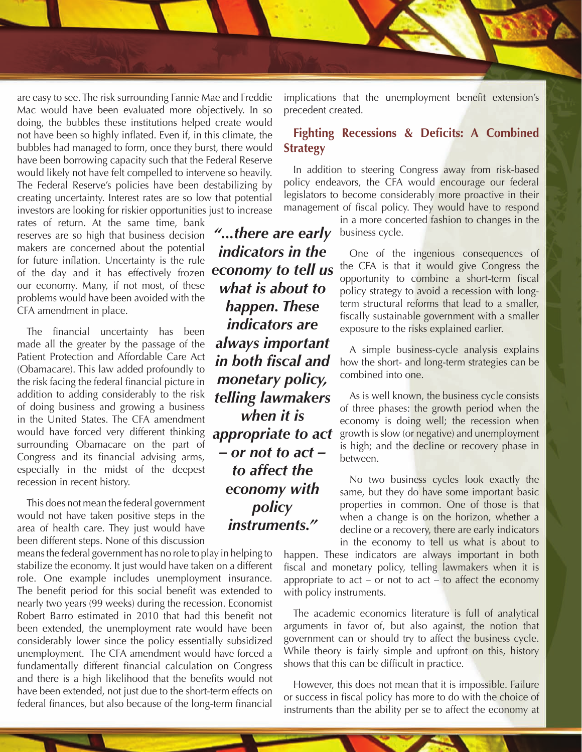

are easy to see. The risk surrounding Fannie Mae and Freddie Mac would have been evaluated more objectively. In so doing, the bubbles these institutions helped create would not have been so highly inflated. Even if, in this climate, the bubbles had managed to form, once they burst, there would have been borrowing capacity such that the Federal Reserve would likely not have felt compelled to intervene so heavily. The Federal Reserve's policies have been destabilizing by creating uncertainty. Interest rates are so low that potential investors are looking for riskier opportunities just to increase

rates of return. At the same time, bank reserves are so high that business decision makers are concerned about the potential for future inflation. Uncertainty is the rule of the day and it has effectively frozen our economy. Many, if not most, of these problems would have been avoided with the CFA amendment in place.

The financial uncertainty has been made all the greater by the passage of the Patient Protection and Affordable Care Act (Obamacare). This law added profoundly to the risk facing the federal financial picture in addition to adding considerably to the risk of doing business and growing a business in the United States. The CFA amendment would have forced very different thinking surrounding Obamacare on the part of Congress and its financial advising arms, especially in the midst of the deepest recession in recent history.

This does not mean the federal government would not have taken positive steps in the area of health care. They just would have been different steps. None of this discussion

means the federal government has no role to play in helping to stabilize the economy. It just would have taken on a different role. One example includes unemployment insurance. The benefit period for this social benefit was extended to nearly two years (99 weeks) during the recession. Economist Robert Barro estimated in 2010 that had this benefit not been extended, the unemployment rate would have been considerably lower since the policy essentially subsidized unemployment. The CFA amendment would have forced a fundamentally different financial calculation on Congress and there is a high likelihood that the benefits would not have been extended, not just due to the short-term effects on federal finances, but also because of the long-term financial

*"...there are early indicators in the economy to tell us what is about to happen. These indicators are always important in both fiscal and monetary policy, telling lawmakers when it is appropriate to act – or not to act – to affect the economy with policy instruments."*

implications that the unemployment benefit extension's precedent created.

# **Fighting Recessions & Deficits: A Combined Strategy**

In addition to steering Congress away from risk-based policy endeavors, the CFA would encourage our federal legislators to become considerably more proactive in their management of fiscal policy. They would have to respond

> in a more concerted fashion to changes in the business cycle.

One of the ingenious consequences of the CFA is that it would give Congress the opportunity to combine a short-term fiscal policy strategy to avoid a recession with longterm structural reforms that lead to a smaller, fiscally sustainable government with a smaller exposure to the risks explained earlier.

A simple business-cycle analysis explains how the short- and long-term strategies can be combined into one.

As is well known, the business cycle consists of three phases: the growth period when the economy is doing well; the recession when growth is slow (or negative) and unemployment is high; and the decline or recovery phase in between.

No two business cycles look exactly the same, but they do have some important basic properties in common. One of those is that when a change is on the horizon, whether a decline or a recovery, there are early indicators in the economy to tell us what is about to

happen. These indicators are always important in both fiscal and monetary policy, telling lawmakers when it is appropriate to  $act - or not to act - to affect the economy$ with policy instruments.

The academic economics literature is full of analytical arguments in favor of, but also against, the notion that government can or should try to affect the business cycle. While theory is fairly simple and upfront on this, history shows that this can be difficult in practice.

However, this does not mean that it is impossible. Failure or success in fiscal policy has more to do with the choice of instruments than the ability per se to affect the economy at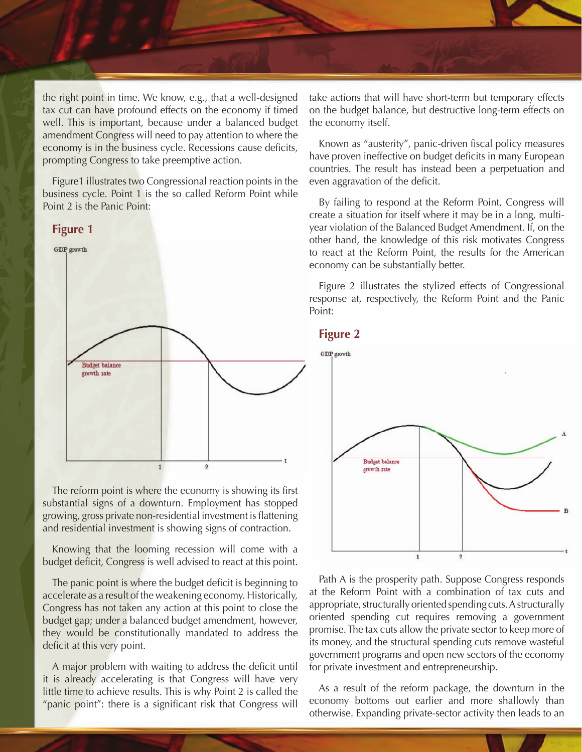

the right point in time. We know, e.g., that a well-designed tax cut can have profound effects on the economy if timed well. This is important, because under a balanced budget amendment Congress will need to pay attention to where the economy is in the business cycle. Recessions cause deficits, prompting Congress to take preemptive action.

Figure1 illustrates two Congressional reaction points in the business cycle. Point 1 is the so called Reform Point while Point 2 is the Panic Point:

#### **Figure 1**



The reform point is where the economy is showing its first substantial signs of a downturn. Employment has stopped growing, gross private non-residential investment is flattening and residential investment is showing signs of contraction.

Knowing that the looming recession will come with a budget deficit, Congress is well advised to react at this point.

The panic point is where the budget deficit is beginning to accelerate as a result of the weakening economy. Historically, Congress has not taken any action at this point to close the budget gap; under a balanced budget amendment, however, they would be constitutionally mandated to address the deficit at this very point.

A major problem with waiting to address the deficit until it is already accelerating is that Congress will have very little time to achieve results. This is why Point 2 is called the "panic point": there is a significant risk that Congress will

take actions that will have short-term but temporary effects on the budget balance, but destructive long-term effects on the economy itself.

Known as "austerity", panic-driven fiscal policy measures have proven ineffective on budget deficits in many European countries. The result has instead been a perpetuation and even aggravation of the deficit.

By failing to respond at the Reform Point, Congress will create a situation for itself where it may be in a long, multiyear violation of the Balanced Budget Amendment. If, on the other hand, the knowledge of this risk motivates Congress to react at the Reform Point, the results for the American economy can be substantially better.

Figure 2 illustrates the stylized effects of Congressional response at, respectively, the Reform Point and the Panic Point:





Path A is the prosperity path. Suppose Congress responds at the Reform Point with a combination of tax cuts and appropriate, structurally oriented spending cuts. A structurally oriented spending cut requires removing a government promise. The tax cuts allow the private sector to keep more of its money, and the structural spending cuts remove wasteful government programs and open new sectors of the economy for private investment and entrepreneurship.

As a result of the reform package, the downturn in the economy bottoms out earlier and more shallowly than otherwise. Expanding private-sector activity then leads to an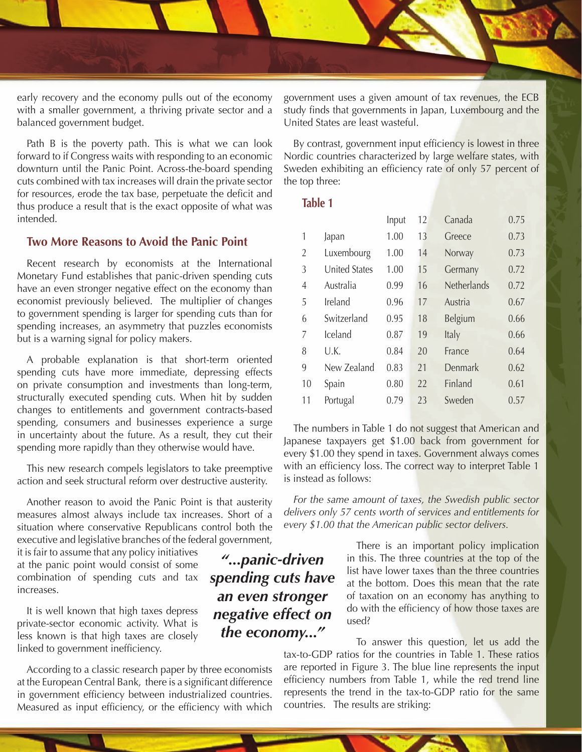

early recovery and the economy pulls out of the economy with a smaller government, a thriving private sector and a balanced government budget.

Path B is the poverty path. This is what we can look forward to if Congress waits with responding to an economic downturn until the Panic Point. Across-the-board spending cuts combined with tax increases will drain the private sector for resources, erode the tax base, perpetuate the deficit and thus produce a result that is the exact opposite of what was intended.

# **Two More Reasons to Avoid the Panic Point**

Recent research by economists at the International Monetary Fund establishes that panic-driven spending cuts have an even stronger negative effect on the economy than economist previously believed. The multiplier of changes to government spending is larger for spending cuts than for spending increases, an asymmetry that puzzles economists but is a warning signal for policy makers.

A probable explanation is that short-term oriented spending cuts have more immediate, depressing effects on private consumption and investments than long-term, structurally executed spending cuts. When hit by sudden changes to entitlements and government contracts-based spending, consumers and businesses experience a surge in uncertainty about the future. As a result, they cut their spending more rapidly than they otherwise would have.

This new research compels legislators to take preemptive action and seek structural reform over destructive austerity.

Another reason to avoid the Panic Point is that austerity measures almost always include tax increases. Short of a situation where conservative Republicans control both the executive and legislative branches of the federal government,

it is fair to assume that any policy initiatives at the panic point would consist of some combination of spending cuts and tax increases.

It is well known that high taxes depress private-sector economic activity. What is less known is that high taxes are closely linked to government inefficiency.

According to a classic research paper by three economists at the European Central Bank, there is a significant difference in government efficiency between industrialized countries. Measured as input efficiency, or the efficiency with which

government uses a given amount of tax revenues, the ECB study finds that governments in Japan, Luxembourg and the United States are least wasteful.

By contrast, government input efficiency is lowest in three Nordic countries characterized by large welfare states, with Sweden exhibiting an efficiency rate of only 57 percent of the top three:

#### **Table 1**

|    |                      | Input | 12 | Canada      | 0.75 |
|----|----------------------|-------|----|-------------|------|
| 1  | Japan                | 1.00  | 13 | Greece      | 0.73 |
| 2  | Luxembourg           | 1.00  | 14 | Norway      | 0.73 |
| 3  | <b>United States</b> | 1.00  | 15 | Germany     | 0.72 |
| 4  | Australia            | 0.99  | 16 | Netherlands | 0.72 |
| 5  | Ireland              | 0.96  | 17 | Austria     | 0.67 |
| 6  | Switzerland          | 0.95  | 18 | Belgium     | 0.66 |
| 7  | Iceland              | 0.87  | 19 | Italy       | 0.66 |
| 8  | U.K.                 | 0.84  | 20 | France      | 0.64 |
| 9  | New Zealand          | 0.83  | 21 | Denmark     | 0.62 |
| 10 | Spain                | 0.80  | 22 | Finland     | 0.61 |
| 11 | Portugal             | 0.79  | 23 | Sweden      | 0.57 |

The numbers in Table 1 do not suggest that American and Japanese taxpayers get \$1.00 back from government for every \$1.00 they spend in taxes. Government always comes with an efficiency loss. The correct way to interpret Table 1 is instead as follows:

*For the same amount of taxes, the Swedish public sector delivers only 57 cents worth of services and entitlements for every \$1.00 that the American public sector delivers.*

> There is an important policy implication in this. The three countries at the top of the list have lower taxes than the three countries at the bottom. Does this mean that the rate of taxation on an economy has anything to do with the efficiency of how those taxes are used?

To answer this question, let us add the tax-to-GDP ratios for the countries in Table 1. These ratios are reported in Figure 3. The blue line represents the input efficiency numbers from Table 1, while the red trend line represents the trend in the tax-to-GDP ratio for the same countries. The results are striking:

*"...panic-driven spending cuts have an even stronger negative effect on the economy..."*